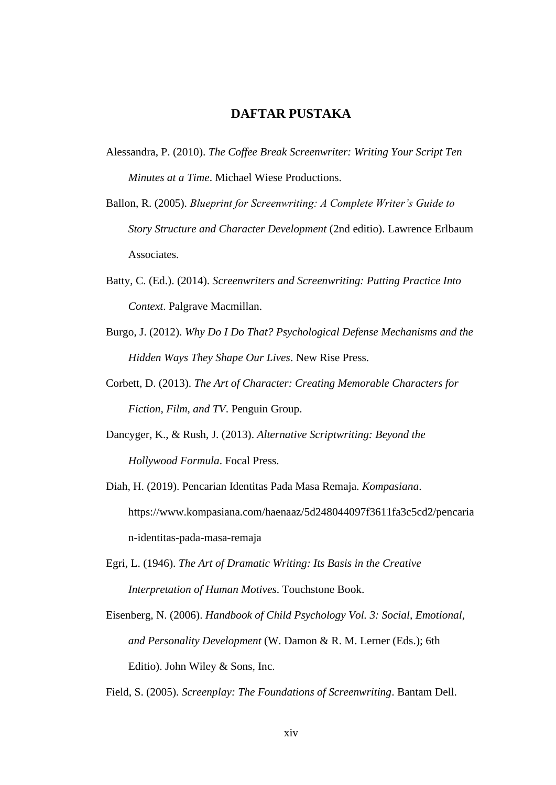## **DAFTAR PUSTAKA**

- Alessandra, P. (2010). *The Coffee Break Screenwriter: Writing Your Script Ten Minutes at a Time*. Michael Wiese Productions.
- Ballon, R. (2005). *Blueprint for Screenwriting: A Complete Writer's Guide to Story Structure and Character Development* (2nd editio). Lawrence Erlbaum Associates.
- Batty, C. (Ed.). (2014). *Screenwriters and Screenwriting: Putting Practice Into Context*. Palgrave Macmillan.
- Burgo, J. (2012). *Why Do I Do That? Psychological Defense Mechanisms and the Hidden Ways They Shape Our Lives*. New Rise Press.
- Corbett, D. (2013). *The Art of Character: Creating Memorable Characters for Fiction, Film, and TV*. Penguin Group.
- Dancyger, K., & Rush, J. (2013). *Alternative Scriptwriting: Beyond the Hollywood Formula*. Focal Press.
- Diah, H. (2019). Pencarian Identitas Pada Masa Remaja. *Kompasiana*. https://www.kompasiana.com/haenaaz/5d248044097f3611fa3c5cd2/pencaria n-identitas-pada-masa-remaja
- Egri, L. (1946). *The Art of Dramatic Writing: Its Basis in the Creative Interpretation of Human Motives*. Touchstone Book.
- Eisenberg, N. (2006). *Handbook of Child Psychology Vol. 3: Social, Emotional, and Personality Development* (W. Damon & R. M. Lerner (Eds.); 6th Editio). John Wiley & Sons, Inc.

Field, S. (2005). *Screenplay: The Foundations of Screenwriting*. Bantam Dell.